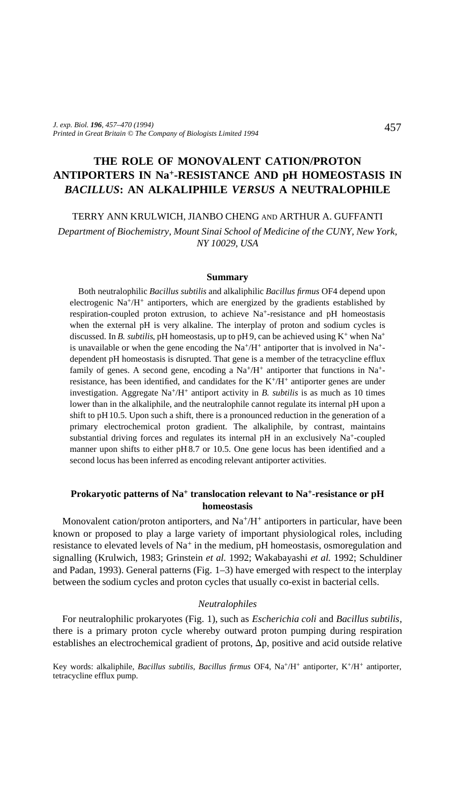# **THE ROLE OF MONOVALENT CATION/PROTON ANTIPORTERS IN Na+-RESISTANCE AND pH HOMEOSTASIS IN** *BACILLUS***: AN ALKALIPHILE** *VERSUS* **A NEUTRALOPHILE**

TERRY ANN KRULWICH, JIANBO CHENG AND ARTHUR A. GUFFANTI

*Department of Biochemistry, Mount Sinai School of Medicine of the CUNY, New York, NY 10029, USA*

#### **Summary**

Both neutralophilic *Bacillus subtilis* and alkaliphilic *Bacillus firmus* OF4 depend upon electrogenic  $\text{Na}^+/\text{H}^+$  antiporters, which are energized by the gradients established by respiration-coupled proton extrusion, to achieve Na+-resistance and pH homeostasis when the external pH is very alkaline. The interplay of proton and sodium cycles is discussed. In *B. subtilis*, pH homeostasis, up to pH 9, can be achieved using  $K^+$  when Na<sup>+</sup> is unavailable or when the gene encoding the  $Na^{+}/H^{+}$  antiporter that is involved in  $Na^{+}$ dependent pH homeostasis is disrupted. That gene is a member of the tetracycline efflux family of genes. A second gene, encoding a Na+/H+ antiporter that functions in Na+ resistance, has been identified, and candidates for the K+/H+ antiporter genes are under investigation. Aggregate Na+/H+ antiport activity in *B. subtilis* is as much as 10 times lower than in the alkaliphile, and the neutralophile cannot regulate its internal pH upon a shift to pH10.5. Upon such a shift, there is a pronounced reduction in the generation of a primary electrochemical proton gradient. The alkaliphile, by contrast, maintains substantial driving forces and regulates its internal pH in an exclusively Na+-coupled manner upon shifts to either pH 8.7 or 10.5. One gene locus has been identified and a second locus has been inferred as encoding relevant antiporter activities.

## **Prokaryotic patterns of Na+ translocation relevant to Na+-resistance or pH homeostasis**

Monovalent cation/proton antiporters, and  $Na^{+}/H^{+}$  antiporters in particular, have been known or proposed to play a large variety of important physiological roles, including resistance to elevated levels of Na<sup>+</sup> in the medium, pH homeostasis, osmoregulation and signalling (Krulwich, 1983; Grinstein *et al.* 1992; Wakabayashi *et al.* 1992; Schuldiner and Padan, 1993). General patterns (Fig. 1–3) have emerged with respect to the interplay between the sodium cycles and proton cycles that usually co-exist in bacterial cells.

#### *Neutralophiles*

For neutralophilic prokaryotes (Fig. 1), such as *Escherichia coli* and *Bacillus subtilis*, there is a primary proton cycle whereby outward proton pumping during respiration establishes an electrochemical gradient of protons,  $\Delta p$ , positive and acid outside relative

Key words: alkaliphile, *Bacillus subtilis*, *Bacillus firmus* OF4, Na<sup>+</sup>/H<sup>+</sup> antiporter, K<sup>+</sup>/H<sup>+</sup> antiporter, tetracycline efflux pump.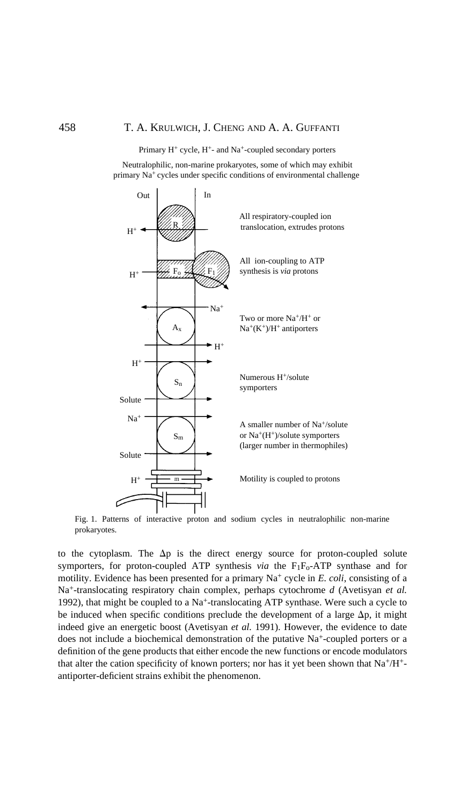Primary  $H^+$  cycle,  $H^+$ - and Na<sup>+</sup>-coupled secondary porters

Neutralophilic, non-marine prokaryotes, some of which may exhibit primary Na+ cycles under specific conditions of environmental challenge



Fig. 1. Patterns of interactive proton and sodium cycles in neutralophilic non-marine prokaryotes.

to the cytoplasm. The  $\Delta p$  is the direct energy source for proton-coupled solute symporters, for proton-coupled ATP synthesis *via* the F<sub>1</sub>F<sub>o</sub>-ATP synthase and for motility. Evidence has been presented for a primary Na<sup>+</sup> cycle in *E. coli*, consisting of a Na+-translocating respiratory chain complex, perhaps cytochrome *d* (Avetisyan *et al.* 1992), that might be coupled to a Na<sup>+</sup>-translocating ATP synthase. Were such a cycle to be induced when specific conditions preclude the development of a large  $\Delta p$ , it might indeed give an energetic boost (Avetisyan *et al.* 1991). However, the evidence to date does not include a biochemical demonstration of the putative Na<sup>+</sup>-coupled porters or a definition of the gene products that either encode the new functions or encode modulators that alter the cation specificity of known porters; nor has it yet been shown that  $Na^+/H^+$ antiporter-deficient strains exhibit the phenomenon.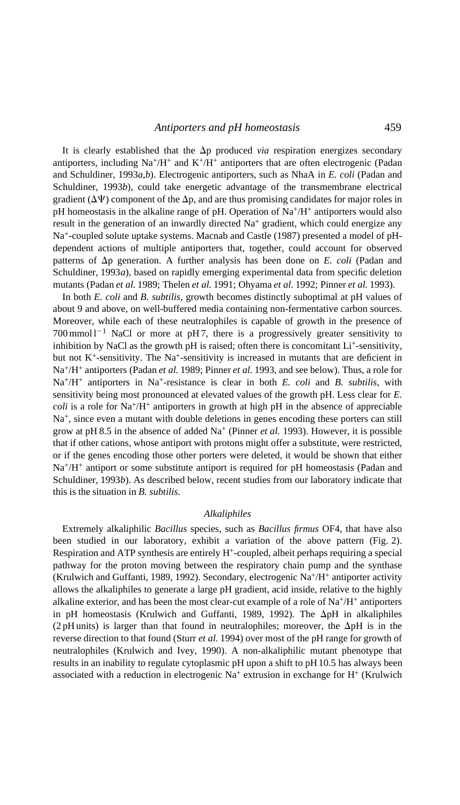It is clearly established that the  $\Delta p$  produced *via* respiration energizes secondary antiporters, including  $Na^{+}/H^{+}$  and  $K^{+}/H^{+}$  antiporters that are often electrogenic (Padan and Schuldiner, 1993 *<sup>a</sup>*,*b*). Electrogenic antiporters, such as NhaA in *E. coli* (Padan and Schuldiner, 1993 *b*), could take energetic advantage of the transmembrane electrical gradient ( $\Delta \Psi$ ) component of the  $\Delta p$ , and are thus promising candidates for major roles in pH homeostasis in the alkaline range of pH. Operation of  $\text{Na}^+\text{/H}^+$  antiporters would also result in the generation of an inwardly directed Na<sup>+</sup> gradient, which could energize any Na+-coupled solute uptake systems. Macnab and Castle (1987) presented a model of pHdependent actions of multiple antiporters that, together, could account for observed patterns of Dp generation. A further analysis has been done on *E. coli* (Padan and Schuldiner, 1993 *<sup>a</sup>*), based on rapidly emerging experimental data from specific deletion mutants (Padan *et al.* 1989; Thelen *et al.* 1991; Ohyama *et al.* 1992; Pinner *et al.* 1993).

In both *E. coli* and *B. subtilis*, growth becomes distinctly suboptimal at pH values of about 9 and above, on well-buffered media containing non-fermentative carbon sources. Moreover, while each of these neutralophiles is capable of growth in the presence of  $700 \,\mathrm{mmol} \, 1^{-1}$  NaCl or more at pH7, there is a progressively greater sensitivity to inhibition by NaCl as the growth pH is raised; often there is concomitant  $Li<sup>+</sup>$ -sensitivity, but not  $K^+$ -sensitivity. The Na<sup>+</sup>-sensitivity is increased in mutants that are deficient in Na+/H+ antiporters (Padan *et al.* 1989; Pinner *et al.* 1993, and see below). Thus, a role for Na+/H+ antiporters in Na+-resistance is clear in both *E. coli* and *B. subtilis*, with sensitivity being most pronounced at elevated values of the growth pH. Less clear for *E. coli* is a role for  $Na^{+}/H^{+}$  antiporters in growth at high pH in the absence of appreciable Na<sup>+</sup>, since even a mutant with double deletions in genes encoding these porters can still grow at pH 8.5 in the absence of added  $Na<sup>+</sup>$  (Pinner *et al.* 1993). However, it is possible that if other cations, whose antiport with protons might offer a substitute, were restricted, or if the genes encoding those other porters were deleted, it would be shown that either Na+/H+ antiport or some substitute antiport is required for pH homeostasis (Padan and Schuldiner, 1993 *b*). As described below, recent studies from our laboratory indicate that this is the situation in *B. subtilis.*

### *Alkaliphiles*

Extremely alkaliphilic *Bacillus* species, such as *Bacillus firmus* OF4, that have also been studied in our laboratory, exhibit a variation of the above pattern (Fig. 2). Respiration and ATP synthesis are entirely H+-coupled, albeit perhaps requiring a special pathway for the proton moving between the respiratory chain pump and the synthase (Krulwich and Guffanti, 1989, 1992). Secondary, electrogenic  $\text{Na}^+\text{/H}^+$  antiporter activity allows the alkaliphiles to generate a large pH gradient, acid inside, relative to the highly alkaline exterior, and has been the most clear-cut example of a role of  $Na<sup>+</sup>/H<sup>+</sup>$  antiporters in pH homeostasis (Krulwich and Guffanti, 1989, 1992). The DpH in alkaliphiles (2 pH units) is larger than that found in neutral ophiles; moreover, the  $\Delta$ pH is in the reverse direction to that found (Sturr *et al.* 1994) over most of the pH range for growth of neutralophiles (Krulwich and Ivey, 1990). A non-alkaliphilic mutant phenotype that results in an inability to regulate cytoplasmic pH upon a shift to pH 10.5 has always been associated with a reduction in electrogenic  $Na^+$  extrusion in exchange for  $H^+$  (Krulwich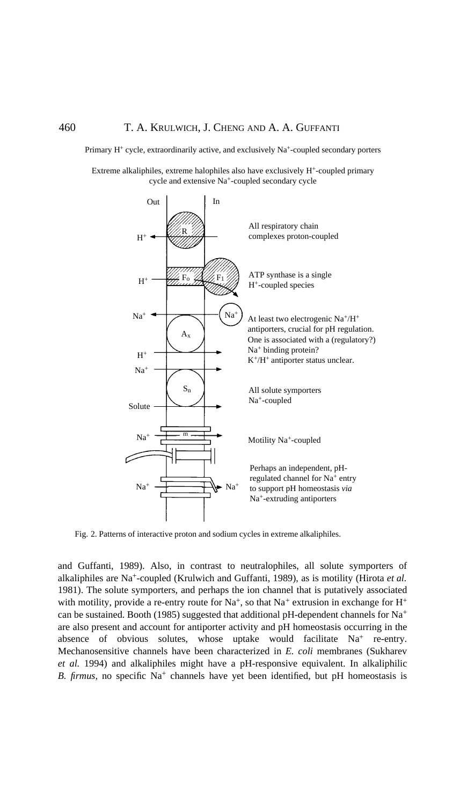Primary H<sup>+</sup> cycle, extraordinarily active, and exclusively Na<sup>+</sup>-coupled secondary porters

Extreme alkaliphiles, extreme halophiles also have exclusively H+-coupled primary cycle and extensive Na+-coupled secondary cycle



Fig. 2. Patterns of interactive proton and sodium cycles in extreme alkaliphiles.

and Guffanti, 1989). Also, in contrast to neutralophiles, all solute symporters of alkaliphiles are Na+-coupled (Krulwich and Guffanti, 1989), as is motility (Hirota *et al.* 1981). The solute symporters, and perhaps the ion channel that is putatively associated with motility, provide a re-entry route for  $Na^+$ , so that  $Na^+$  extrusion in exchange for  $H^+$ can be sustained. Booth (1985) suggested that additional pH-dependent channels for  $Na<sup>+</sup>$ are also present and account for antiporter activity and pH homeostasis occurring in the absence of obvious solutes, whose uptake would facilitate Na<sup>+</sup> re-entry. Mechanosensitive channels have been characterized in *E. coli* membranes (Sukharev *et al.* 1994) and alkaliphiles might have a pH-responsive equivalent. In alkaliphilic *B. firmus,* no specific Na<sup>+</sup> channels have yet been identified, but pH homeostasis is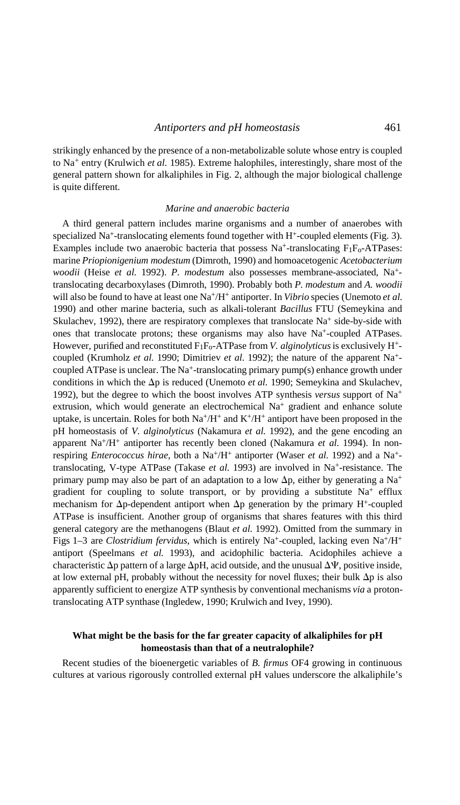strikingly enhanced by the presence of a non-metabolizable solute whose entry is coupled to Na+ entry (Krulwich *et al.* 1985). Extreme halophiles, interestingly, share most of the general pattern shown for alkaliphiles in Fig. 2, although the major biological challenge is quite different.

#### *Marine and anaerobic bacteria*

A third general pattern includes marine organisms and a number of anaerobes with specialized Na<sup>+</sup>-translocating elements found together with  $H^+$ -coupled elements (Fig. 3). Examples include two anaerobic bacteria that possess  $Na^+$ -translocating  $F_1F_0$ -ATPases: marine *Priopionigenium modestum* (Dimroth, 1990) and homoacetogenic *Acetobacterium woodii* (Heise *et al.* 1992). *P. modestum* also possesses membrane-associated, Na+ translocating decarboxylases (Dimroth, 1990). Probably both *P. modestum* and *A. woodii* will also be found to have at least one Na+/H+ antiporter. In *Vibrio* species (Unemoto *et al.* 1990) and other marine bacteria, such as alkali-tolerant *Bacillus* FTU (Semeykina and Skulachev, 1992), there are respiratory complexes that translocate  $Na<sup>+</sup>$  side-by-side with ones that translocate protons; these organisms may also have Na+-coupled ATPases. However, purified and reconstituted F1Fo-ATPase from *V. alginolyticus*is exclusively H+ coupled (Krumholz *et al.* 1990; Dimitriev *et al.* 1992); the nature of the apparent Na+ coupled ATPase is unclear. The Na+-translocating primary pump(s) enhance growth under conditions in which the  $\Delta p$  is reduced (Unemoto *et al.* 1990; Semeykina and Skulachev, 1992), but the degree to which the boost involves ATP synthesis *versus* support of Na+ extrusion, which would generate an electrochemical Na<sup>+</sup> gradient and enhance solute uptake, is uncertain. Roles for both  $Na^+/H^+$  and  $K^+/H^+$  antiport have been proposed in the pH homeostasis of *V. alginolyticus* (Nakamura *et al.* 1992), and the gene encoding an apparent Na+/H+ antiporter has recently been cloned (Nakamura *et al.* 1994). In nonrespiring *Enterococcus hirae*, both a Na<sup>+</sup>/H<sup>+</sup> antiporter (Waser *et al.* 1992) and a Na<sup>+</sup>translocating, V-type ATPase (Takase *et al.* 1993) are involved in Na<sup>+</sup>-resistance. The primary pump may also be part of an adaptation to a low  $\Delta p$ , either by generating a Na<sup>+</sup> gradient for coupling to solute transport, or by providing a substitute  $Na^+$  efflux mechanism for  $\Delta p$ -dependent antiport when  $\Delta p$  generation by the primary H<sup>+</sup>-coupled ATPase is insufficient. Another group of organisms that shares features with this third general category are the methanogens (Blaut *et al.* 1992). Omitted from the summary in Figs 1-3 are *Clostridium fervidus*, which is entirely Na<sup>+</sup>-coupled, lacking even Na<sup>+</sup>/H<sup>+</sup> antiport (Speelmans *et al.* 1993), and acidophilic bacteria. Acidophiles achieve a characteristic  $\Delta p$  pattern of a large  $\Delta pH$ , acid outside, and the unusual  $\Delta \Psi$ , positive inside, at low external pH, probably without the necessity for novel fluxes; their bulk  $\Delta p$  is also apparently sufficient to energize ATP synthesis by conventional mechanisms *via* a protontranslocating ATP synthase (Ingledew, 1990; Krulwich and Ivey, 1990).

### **What might be the basis for the far greater capacity of alkaliphiles for pH homeostasis than that of a neutralophile?**

Recent studies of the bioenergetic variables of *B. firmus* OF4 growing in continuous cultures at various rigorously controlled external pH values underscore the alkaliphile's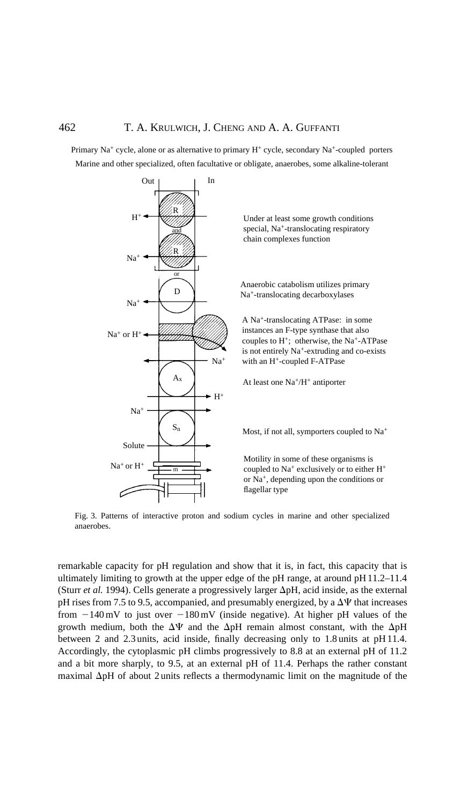Primary Na<sup>+</sup> cycle, alone or as alternative to primary H<sup>+</sup> cycle, secondary Na<sup>+</sup>-coupled porters Marine and other specialized, often facultative or obligate, anaerobes, some alkaline-tolerant



Fig. 3. Patterns of interactive proton and sodium cycles in marine and other specialized anaerobes.

remarkable capacity for pH regulation and show that it is, in fact, this capacity that is ultimately limiting to growth at the upper edge of the pH range, at around pH11.2–11.4 (Sturr *et al.* 1994). Cells generate a progressively larger  $\Delta pH$ , acid inside, as the external pH rises from 7.5 to 9.5, accompanied, and presumably energized, by a  $\Delta \Psi$  that increases from  $-140 \text{ mV}$  to just over  $-180 \text{ mV}$  (inside negative). At higher pH values of the growth medium, both the  $\Delta \Psi$  and the  $\Delta pH$  remain almost constant, with the  $\Delta pH$ between 2 and 2.3 units, acid inside, finally decreasing only to 1.8 units at pH 11.4. Accordingly, the cytoplasmic pH climbs progressively to 8.8 at an external pH of 11.2 and a bit more sharply, to 9.5, at an external pH of 11.4. Perhaps the rather constant maximal DpH of about 2 units reflects a thermodynamic limit on the magnitude of the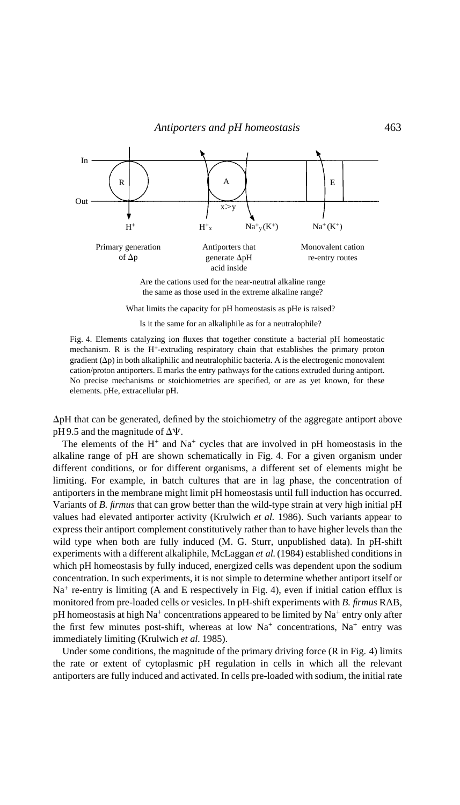

the same as those used in the extreme alkaline range?

What limits the capacity for pH homeostasis as pHe is raised?

Is it the same for an alkaliphile as for a neutralophile?

Fig. 4. Elements catalyzing ion fluxes that together constitute a bacterial pH homeostatic mechanism. R is the H+-extruding respiratory chain that establishes the primary proton gradient  $(\Delta p)$  in both alkaliphilic and neutralophilic bacteria. A is the electrogenic monovalent cation/proton antiporters. E marks the entry pathways for the cations extruded during antiport. No precise mechanisms or stoichiometries are specified, or are as yet known, for these elements. pHe, extracellular pH.

 $\Delta$ pH that can be generated, defined by the stoichiometry of the aggregate antiport above pH 9.5 and the magnitude of  $\Delta \Psi$ .

The elements of the  $H^+$  and  $Na^+$  cycles that are involved in pH homeostasis in the alkaline range of pH are shown schematically in Fig. 4. For a given organism under different conditions, or for different organisms, a different set of elements might be limiting. For example, in batch cultures that are in lag phase, the concentration of antiporters in the membrane might limit pH homeostasis until full induction has occurred. Variants of *B. firmus* that can grow better than the wild-type strain at very high initial pH values had elevated antiporter activity (Krulwich *et al.* 1986). Such variants appear to express their antiport complement constitutively rather than to have higher levels than the wild type when both are fully induced (M. G. Sturr, unpublished data). In pH-shift experiments with a different alkaliphile, McLaggan *et al.*(1984) established conditions in which pH homeostasis by fully induced, energized cells was dependent upon the sodium concentration. In such experiments, it is not simple to determine whether antiport itself or  $Na<sup>+</sup>$  re-entry is limiting (A and E respectively in Fig. 4), even if initial cation efflux is monitored from pre-loaded cells or vesicles. In pH-shift experiments with *B. firmus* RAB,  $pH$  homeostasis at high Na<sup>+</sup> concentrations appeared to be limited by Na<sup>+</sup> entry only after the first few minutes post-shift, whereas at low  $Na^+$  concentrations,  $Na^+$  entry was immediately limiting (Krulwich *et al.* 1985).

Under some conditions, the magnitude of the primary driving force (R in Fig. 4) limits the rate or extent of cytoplasmic pH regulation in cells in which all the relevant antiporters are fully induced and activated. In cells pre-loaded with sodium, the initial rate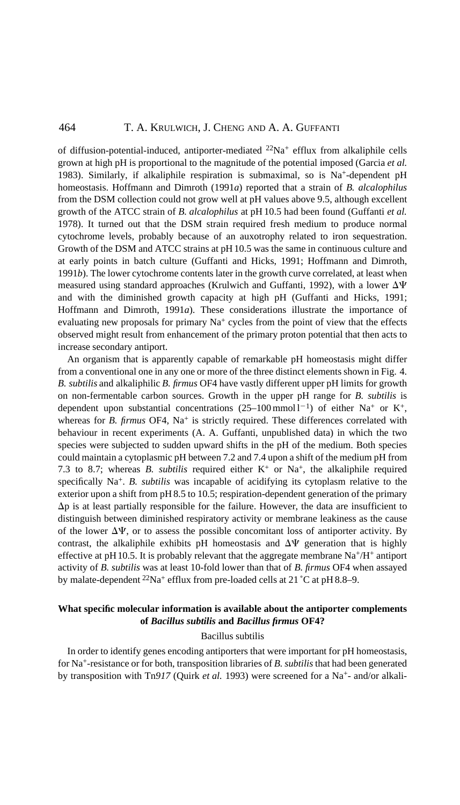### 464 T. A. KRULWICH, J. CHENG AND A. A. GUFFANTI

of diffusion-potential-induced, antiporter-mediated  $22Na$ <sup>+</sup> efflux from alkaliphile cells grown at high pH is proportional to the magnitude of the potential imposed (Garcia *et al.* 1983). Similarly, if alkaliphile respiration is submaximal, so is Na<sup>+</sup>-dependent pH homeostasis. Hoffmann and Dimroth (1991*a*) reported that a strain of *B. alcalophilus* from the DSM collection could not grow well at pH values above 9.5, although excellent growth of the ATCC strain of *B. alcalophilus* at pH 10.5 had been found (Guffanti *et al.* 1978). It turned out that the DSM strain required fresh medium to produce normal cytochrome levels, probably because of an auxotrophy related to iron sequestration. Growth of the DSM and ATCC strains at pH10.5 was the same in continuous culture and at early points in batch culture (Guffanti and Hicks, 1991; Hoffmann and Dimroth, 1991*b*). The lower cytochrome contents later in the growth curve correlated, at least when measured using standard approaches (Krulwich and Guffanti, 1992), with a lower  $\Delta\Psi$ and with the diminished growth capacity at high pH (Guffanti and Hicks, 1991; Hoffmann and Dimroth, 1991*a*). These considerations illustrate the importance of evaluating new proposals for primary Na<sup>+</sup> cycles from the point of view that the effects observed might result from enhancement of the primary proton potential that then acts to increase secondary antiport.

An organism that is apparently capable of remarkable pH homeostasis might differ from a conventional one in any one or more of the three distinct elements shown in Fig. 4. *B. subtilis* and alkaliphilic *B. firmus* OF4 have vastly different upper pH limits for growth on non-fermentable carbon sources. Growth in the upper pH range for *B. subtilis* is dependent upon substantial concentrations  $(25-100 \text{ mmol l}^{-1})$  of either Na<sup>+</sup> or K<sup>+</sup>, whereas for *B. firmus* OF4, Na<sup>+</sup> is strictly required. These differences correlated with behaviour in recent experiments (A. A. Guffanti, unpublished data) in which the two species were subjected to sudden upward shifts in the pH of the medium. Both species could maintain a cytoplasmic pH between 7.2 and 7.4 upon a shift of the medium pH from 7.3 to 8.7; whereas *B. subtilis* required either  $K^+$  or  $Na^+$ , the alkaliphile required specifically Na+. *B. subtilis* was incapable of acidifying its cytoplasm relative to the exterior upon a shift from pH 8.5 to 10.5; respiration-dependent generation of the primary  $\Delta p$  is at least partially responsible for the failure. However, the data are insufficient to distinguish between diminished respiratory activity or membrane leakiness as the cause of the lower  $\Delta \Psi$ , or to assess the possible concomitant loss of antiporter activity. By contrast, the alkaliphile exhibits pH homeostasis and  $\Delta\Psi$  generation that is highly effective at pH 10.5. It is probably relevant that the aggregate membrane  $Na^{+}/H^{+}$  antiport activity of *B. subtilis* was at least 10-fold lower than that of *B. firmus* OF4 when assayed by malate-dependent <sup>22</sup>Na<sup>+</sup> efflux from pre-loaded cells at 21 °C at pH 8.8–9.

### **What specific molecular information is available about the antiporter complements of** *Bacillus subtilis* **and** *Bacillus firmus* **OF4?**

#### Bacillus subtilis

In order to identify genes encoding antiporters that were important for pH homeostasis, for Na+-resistance or for both, transposition libraries of *B. subtilis* that had been generated by transposition with Tn917 (Quirk *et al.* 1993) were screened for a Na<sup>+</sup>- and/or alkali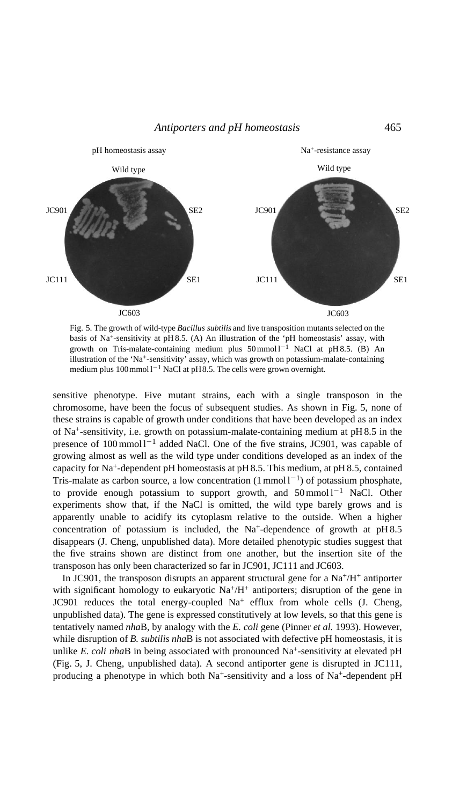Antiporters and pH homeostasis 465



Fig. 5. The growth of wild-type *Bacillus subtilis* and five transposition mutants selected on the basis of Na+-sensitivity at pH 8.5. (A) An illustration of the 'pH homeostasis' assay, with growth on Tris-malate-containing medium plus  $50 \text{ mmol} 1^{-1}$  NaCl at pH8.5. (B) An illustration of the 'Na+-sensitivity' assay, which was growth on potassium-malate-containing medium plus  $100$ mmol $1^{-1}$  NaCl at pH8.5. The cells were grown overnight.

sensitive phenotype. Five mutant strains, each with a single transposon in the chromosome, have been the focus of subsequent studies. As shown in Fig. 5, none of these strains is capable of growth under conditions that have been developed as an index of  $Na<sup>+</sup>$ -sensitivity, i.e. growth on potassium-malate-containing medium at pH8.5 in the presence of  $100 \text{ mmol}^{-1}$  added NaCl. One of the five strains, JC901, was capable of growing almost as well as the wild type under conditions developed as an index of the capacity for Na+-dependent pH homeostasis at pH 8.5. This medium, at pH 8.5, contained Tris-malate as carbon source, a low concentration  $(1 \text{ mmol } 1^{-1})$  of potassium phosphate, to provide enough potassium to support growth, and  $50 \text{ mmol} 1^{-1}$  NaCl. Other experiments show that, if the NaCl is omitted, the wild type barely grows and is apparently unable to acidify its cytoplasm relative to the outside. When a higher concentration of potassium is included, the  $Na<sup>+</sup>$ -dependence of growth at  $pH8.5$ disappears (J. Cheng, unpublished data). More detailed phenotypic studies suggest that the five strains shown are distinct from one another, but the insertion site of the transposon has only been characterized so far in JC901, JC111 and JC603.

In JC901, the transposon disrupts an apparent structural gene for a  $Na^{+}/H^{+}$  antiporter with significant homology to eukaryotic  $\text{Na}^+\text{/H}^+$  antiporters; disruption of the gene in JC901 reduces the total energy-coupled  $Na<sup>+</sup>$  efflux from whole cells (J. Cheng, unpublished data). The gene is expressed constitutively at low levels, so that this gene is tentatively named *nha*B, by analogy with the *E. coli* gene (Pinner *et al.* 1993). However, while disruption of *B. subtilis nha*B is not associated with defective pH homeostasis, it is unlike *E. coli nha*B in being associated with pronounced Na<sup>+</sup>-sensitivity at elevated pH (Fig. 5, J. Cheng, unpublished data). A second antiporter gene is disrupted in JC111, producing a phenotype in which both Na<sup>+</sup>-sensitivity and a loss of Na<sup>+</sup>-dependent pH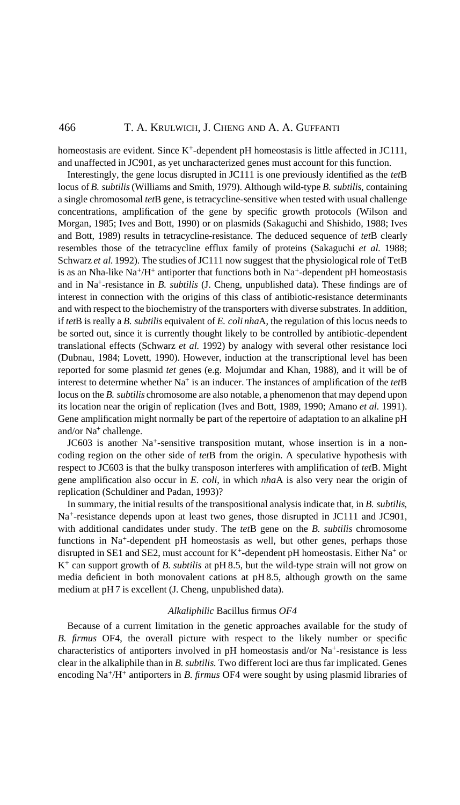#### 466 T. A. KRULWICH, J. CHENG AND A. A. GUFFANTI

homeostasis are evident. Since K<sup>+</sup>-dependent pH homeostasis is little affected in JC111, and unaffected in JC901, as yet uncharacterized genes must account for this function.

Interestingly, the gene locus disrupted in JC111 is one previously identified as the *tet*B locus of *B. subtilis*(Williams and Smith, 1979). Although wild-type *B. subtilis*, containing a single chromosomal *tet*B gene, is tetracycline-sensitive when tested with usual challenge concentrations, amplification of the gene by specific growth protocols (Wilson and Morgan, 1985; Ives and Bott, 1990) or on plasmids (Sakaguchi and Shishido, 1988; Ives and Bott, 1989) results in tetracycline-resistance. The deduced sequence of *tet*B clearly resembles those of the tetracycline efflux family of proteins (Sakaguchi *et al.* 1988; Schwarz *et al.* 1992). The studies of JC111 now suggest that the physiological role of TetB is as an Nha-like Na<sup>+</sup>/H<sup>+</sup> antiporter that functions both in Na<sup>+</sup>-dependent pH homeostasis and in Na+-resistance in *B. subtilis* (J. Cheng, unpublished data). These findings are of interest in connection with the origins of this class of antibiotic-resistance determinants and with respect to the biochemistry of the transporters with diverse substrates. In addition, if *tet*B is really a *B. subtilis* equivalent of *E. coli nha*A, the regulation of this locus needs to be sorted out, since it is currently thought likely to be controlled by antibiotic-dependent translational effects (Schwarz *et al.* 1992) by analogy with several other resistance loci (Dubnau, 1984; Lovett, 1990). However, induction at the transcriptional level has been reported for some plasmid *tet* genes (e.g. Mojumdar and Khan, 1988), and it will be of interest to determine whether Na<sup>+</sup> is an inducer. The instances of amplification of the *tet*B locus on the *B. subtilis* chromosome are also notable, a phenomenon that may depend upon its location near the origin of replication (Ives and Bott, 1989, 1990; Amano *et al.* 1991). Gene amplification might normally be part of the repertoire of adaptation to an alkaline pH and/or Na+ challenge.

JC603 is another Na+-sensitive transposition mutant, whose insertion is in a noncoding region on the other side of *tet*B from the origin. A speculative hypothesis with respect to JC603 is that the bulky transposon interferes with amplification of *tet*B. Might gene amplification also occur in *E. coli*, in which *nha*A is also very near the origin of replication (Schuldiner and Padan, 1993)?

In summary, the initial results of the transpositional analysis indicate that, in *B. subtilis*, Na+-resistance depends upon at least two genes, those disrupted in JC111 and JC901, with additional candidates under study. The *tet*B gene on the *B. subtilis* chromosome functions in Na+-dependent pH homeostasis as well, but other genes, perhaps those disrupted in SE1 and SE2, must account for K+-dependent pH homeostasis. Either Na+ or K+ can support growth of *B. subtilis* at pH 8.5, but the wild-type strain will not grow on media deficient in both monovalent cations at pH 8.5, although growth on the same medium at pH 7 is excellent (J. Cheng, unpublished data).

### *Alkaliphilic* Bacillus firmus *OF4*

Because of a current limitation in the genetic approaches available for the study of *B. firmus* OF4, the overall picture with respect to the likely number or specific characteristics of antiporters involved in pH homeostasis and/or Na+-resistance is less clear in the alkaliphile than in *B. subtilis.* Two different loci are thus far implicated. Genes encoding Na+/H+ antiporters in *B. firmus* OF4 were sought by using plasmid libraries of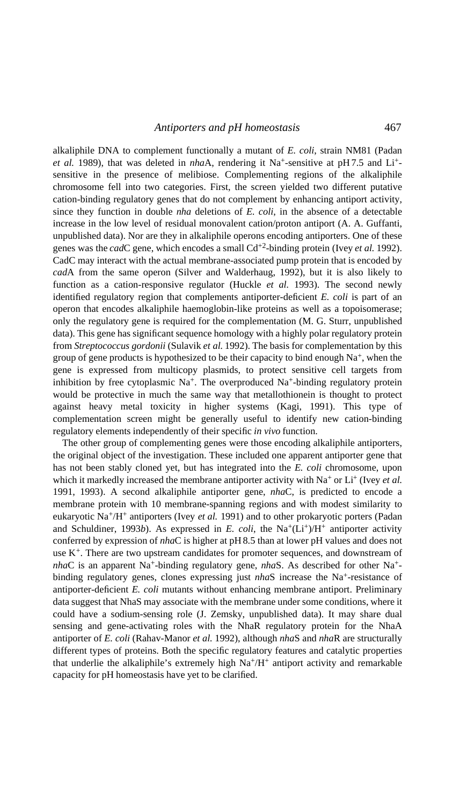alkaliphile DNA to complement functionally a mutant of *E. coli*, strain NM81 (Padan *et al.* 1989), that was deleted in *nha*A, rendering it Na+-sensitive at pH 7.5 and Li+ sensitive in the presence of melibiose. Complementing regions of the alkaliphile chromosome fell into two categories. First, the screen yielded two different putative cation-binding regulatory genes that do not complement by enhancing antiport activity, since they function in double *nha* deletions of *E. coli*, in the absence of a detectable increase in the low level of residual monovalent cation/proton antiport (A. A. Guffanti, unpublished data). Nor are they in alkaliphile operons encoding antiporters. One of these genes was the *cad*C gene, which encodes a small Cd+2-binding protein (Ivey *et al.* 1992). CadC may interact with the actual membrane-associated pump protein that is encoded by *cad*A from the same operon (Silver and Walderhaug, 1992), but it is also likely to function as a cation-responsive regulator (Huckle *et al.* 1993). The second newly identified regulatory region that complements antiporter-deficient *E. coli* is part of an operon that encodes alkaliphile haemoglobin-like proteins as well as a topoisomerase; only the regulatory gene is required for the complementation (M. G. Sturr, unpublished data). This gene has significant sequence homology with a highly polar regulatory protein from *Streptococcus gordonii* (Sulavik *et al.* 1992). The basis for complementation by this group of gene products is hypothesized to be their capacity to bind enough  $Na<sup>+</sup>$ , when the gene is expressed from multicopy plasmids, to protect sensitive cell targets from inhibition by free cytoplasmic  $Na^+$ . The overproduced  $Na^+$ -binding regulatory protein would be protective in much the same way that metallothionein is thought to protect against heavy metal toxicity in higher systems (Kagi, 1991). This type of complementation screen might be generally useful to identify new cation-binding regulatory elements independently of their specific *in vivo* function.

The other group of complementing genes were those encoding alkaliphile antiporters, the original object of the investigation. These included one apparent antiporter gene that has not been stably cloned yet, but has integrated into the *E. coli* chromosome, upon which it markedly increased the membrane antiporter activity with Na<sup>+</sup> or Li<sup>+</sup> (Ivey *et al.*) 1991, 1993). A second alkaliphile antiporter gene, *nha*C, is predicted to encode a membrane protein with 10 membrane-spanning regions and with modest similarity to eukaryotic Na+/H+ antiporters (Ivey *et al.* 1991) and to other prokaryotic porters (Padan and Schuldiner, 1993*b*). As expressed in *E. coli*, the  $Na^+(Li^+)/H^+$  antiporter activity conferred by expression of *nha*C is higher at pH 8.5 than at lower pH values and does not use  $K^+$ . There are two upstream candidates for promoter sequences, and downstream of *nha*C is an apparent Na<sup>+</sup>-binding regulatory gene, *nhaS*. As described for other Na<sup>+</sup>binding regulatory genes, clones expressing just *nha*S increase the Na<sup>+</sup>-resistance of antiporter-deficient *E. coli* mutants without enhancing membrane antiport. Preliminary data suggest that NhaS may associate with the membrane under some conditions, where it could have a sodium-sensing role (J. Zemsky, unpublished data). It may share dual sensing and gene-activating roles with the NhaR regulatory protein for the NhaA antiporter of *E. coli* (Rahav-Manor *et al.* 1992), although *nha*S and *nha*R are structurally different types of proteins. Both the specific regulatory features and catalytic properties that underlie the alkaliphile's extremely high  $Na<sup>+</sup>/H<sup>+</sup>$  antiport activity and remarkable capacity for pH homeostasis have yet to be clarified.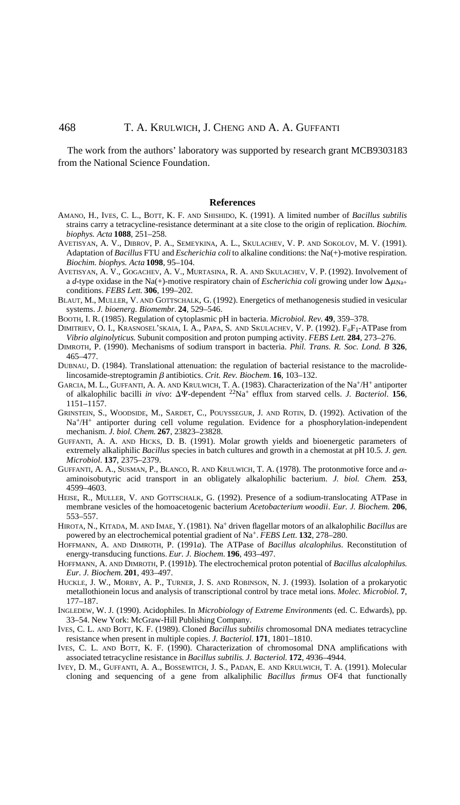The work from the authors' laboratory was supported by research grant MCB9303183 from the National Science Foundation.

#### **References**

- AMANO, H., IVES, C. L., BOTT, K. F. AND SHISHIDO, K. (1991). A limited number of *Bacillus subtilis* strains carry a tetracycline-resistance determinant at a site close to the origin of replication. *Biochim. biophys. Acta* **1088**, 251–258.
- AVETISYAN, A. V., DIBROV, P. A., SEMEYKINA, A. L., SKULACHEV, V. P. AND SOKOLOV, M. V. (1991). Adaptation of *Bacillus* FTU and *Escherichia coli* to alkaline conditions: the Na(+)-motive respiration. *Biochim. biophys. Acta* **1098**, 95–104.
- AVETISYAN, A. V., GOGACHEV, A. V., MURTASINA, R. A. AND SKULACHEV, V. P. (1992). Involvement of a *d*-type oxidase in the Na(+)-motive respiratory chain of *Escherichia coli* growing under low  $\Delta \mu_{\text{Na+}}$ conditions. *FEBS Lett*. **306**, 199–202.
- BLAUT, M., MULLER, V. AND GOTTSCHALK, G. (1992). Energetics of methanogenesis studied in vesicular systems. *J. bioenerg. Biomembr.* **24**, 529–546.
- BOOTH, I. R. (1985). Regulation of cytoplasmic pH in bacteria. *Microbiol. Rev.* **49**, 359–378.
- DIMITRIEV, O. I., KRASNOSEL'SKAIA, I. A., PAPA, S. AND SKULACHEV, V. P. (1992).  $F_0F_1$ -ATPase from *Vibrio alginolyticus*. Subunit composition and proton pumping activity. *FEBS Lett.* **284**, 273–276.
- DIMROTH, P. (1990). Mechanisms of sodium transport in bacteria. *Phil. Trans. R. Soc. Lond. B* **326**, 465–477.
- DUBNAU, D. (1984). Translational attenuation: the regulation of bacterial resistance to the macrolidelincosamide-streptogramin  $\beta$  antibiotics. *Crit. Rev. Biochem.* **16**, 103–132.
- GARCIA, M. L., GUFFANTI, A. A. AND KRULWICH, T. A. (1983). Characterization of the Na+/H+ antiporter of alkalophilic bacilli *in vivo*: DC-dependent 22Na+ efflux from starved cells. *J. Bacteriol*. **156**, 1151–1157.
- GRINSTEIN, S., WOODSIDE, M., SARDET, C., POUYSSEGUR, J. AND ROTIN, D. (1992). Activation of the Na+/H+ antiporter during cell volume regulation. Evidence for a phosphorylation-independent mechanism. *J. biol. Chem.* **267**, 23823–23828.
- GUFFANTI, A. A. AND HICKS, D. B. (1991). Molar growth yields and bioenergetic parameters of extremely alkaliphilic *Bacillus* species in batch cultures and growth in a chemostat at pH10.5. *J. gen. Microbiol*. **137**, 2375–2379.
- GUFFANTI, A. A., SUSMAN, P., BLANCO, R. AND KRULWICH, T. A. (1978). The protonmotive force and  $\alpha$ aminoisobutyric acid transport in an obligately alkalophilic bacterium. *J. biol. Chem.* **253**, 4599–4603.
- HEISE, R., MULLER, V. AND GOTTSCHALK, G. (1992). Presence of a sodium-translocating ATPase in membrane vesicles of the homoacetogenic bacterium *Acetobacterium woodii*. *Eur. J. Biochem.* **206**, 553–557.
- HIROTA, N., KITADA, M. AND IMAE, Y. (1981). Na+ driven flagellar motors of an alkalophilic *Bacillus* are powered by an electrochemical potential gradient of Na+. *FEBS Lett.* **132**, 278–280.
- HOFFMANN, A. AND DIMROTH, P. (1991*a*). The ATPase of *Bacillus alcalophilus*. Reconstitution of energy-transducing functions. *Eur. J. Biochem.* **196**, 493–497.
- HOFFMANN, A. AND DIMROTH, P. (1991*b*). The electrochemical proton potential of *Bacillus alcalophilus*. *Eur. J. Biochem.* **201**, 493–497.
- HUCKLE, J. W., MORBY, A. P., TURNER, J. S. AND ROBINSON, N. J. (1993). Isolation of a prokaryotic metallothionein locus and analysis of transcriptional control by trace metal ions. *Molec. Microbiol*. **7**, 177–187.
- INGLEDEW, W. J. (1990). Acidophiles. In *Microbiology of Extreme Environments* (ed. C. Edwards), pp. 33–54. New York: McGraw-Hill Publishing Company.
- IVES, C. L. AND BOTT, K. F. (1989). Cloned *Bacillus subtilis* chromosomal DNA mediates tetracycline resistance when present in multiple copies. *J. Bacteriol*. **171**, 1801–1810.
- IVES, C. L. AND BOTT, K. F. (1990). Characterization of chromosomal DNA amplifications with associated tetracycline resistance in *Bacillus subtilis*. *J. Bacteriol*. **172**, 4936–4944.
- IVEY, D. M., GUFFANTI, A. A., BOSSEWITCH, J. S., PADAN, E. AND KRULWICH, T. A. (1991). Molecular cloning and sequencing of a gene from alkaliphilic *Bacillus firmus* OF4 that functionally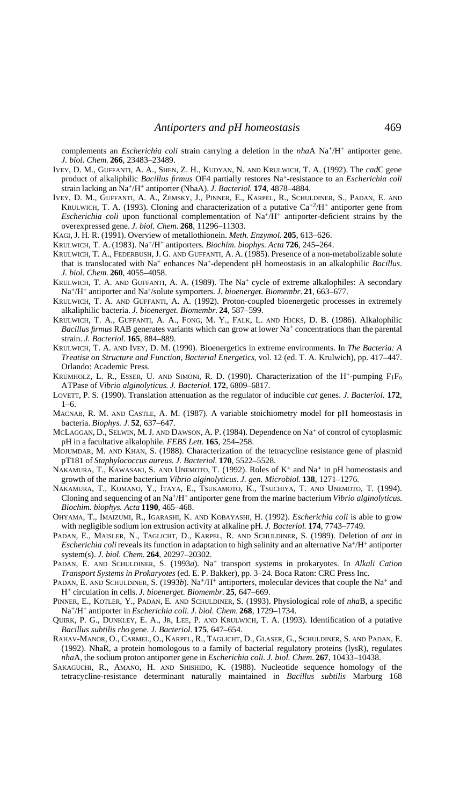complements an *Escherichia coli* strain carrying a deletion in the *nha*A Na+/H+ antiporter gene. *J. biol. Chem.* **266**, 23483–23489.

- IVEY, D. M., GUFFANTI, A. A., SHEN, Z. H., KUDYAN, N. AND KRULWICH, T. A. (1992). The *cad*C gene product of alkaliphilic *Bacillus firmus* OF4 partially restores Na+-resistance to an *Escherichia coli* strain lacking an Na+/H+ antiporter (NhaA). *J. Bacteriol*. **174**, 4878–4884.
- IVEY, D. M., GUFFANTI, A. A., ZEMSKY, J., PINNER, E., KARPEL, R., SCHULDINER, S., PADAN, E. AND KRULWICH, T. A. (1993). Cloning and characterization of a putative  $Ca^{+2}/H^+$  antiporter gene from *Escherichia coli* upon functional complementation of Na<sup>+</sup>/H<sup>+</sup> antiporter-deficient strains by the overexpressed gene. *J. biol. Chem.* **268**, 11296–11303.
- KAGI, J. H. R. (1991). Overview of metallothionein. *Meth. Enzymol.* **205**, 613–626.

KRULWICH, T. A. (1983). Na+/H+ antiporters*. Biochim. biophys. Acta* **726**, 245–264.

- KRULWICH, T. A., FEDERBUSH, J. G. AND GUFFANTI, A. A. (1985). Presence of a non-metabolizable solute that is translocated with Na+ enhances Na+-dependent pH homeostasis in an alkalophilic *Bacillus*. *J. biol. Chem.* **260**, 4055–4058.
- KRULWICH, T. A. AND GUFFANTI, A. A. (1989). The Na<sup>+</sup> cycle of extreme alkalophiles: A secondary Na+/H+ antiporter and Na+/solute symporters. *J. bioenerget. Biomembr.* **21**, 663–677.
- KRULWICH, T. A. AND GUFFANTI, A. A. (1992). Proton-coupled bioenergetic processes in extremely alkaliphilic bacteria. *J. bioenerget. Biomembr.* **24**, 587–599.
- KRULWICH, T. A., GUFFANTI, A. A., FONG, M. Y., FALK, L. AND HICKS, D. B. (1986). Alkalophilic *Bacillus firmus* RAB generates variants which can grow at lower Na<sup>+</sup> concentrations than the parental strain. *J. Bacteriol*. **165**, 884–889.
- KRULWICH, T. A. AND IVEY, D. M. (1990). Bioenergetics in extreme environments. In *The Bacteria: A Treatise on Structure and Function, Bacterial Energetics*, vol. 12 (ed. T. A. Krulwich), pp. 417–447. Orlando: Academic Press.
- KRUMHOLZ, L. R., ESSER, U. AND SIMONI, R. D. (1990). Characterization of the  $H^+$ -pumping  $F_1F_0$ ATPase of *Vibrio alginolyticus*. *J. Bacteriol*. **172**, 6809–6817.
- LOVETT, P. S. (1990). Translation attenuation as the regulator of inducible *cat* genes. *J. Bacteriol.* **172**,  $1-6$ .
- MACNAB, R. M. AND CASTLE, A. M. (1987). A variable stoichiometry model for pH homeostasis in bacteria. *Biophys. J.* **52**, 637–647.
- MCLAGGAN, D., SELWIN, M. J. AND DAWSON, A. P. (1984). Dependence on Na+ of control of cytoplasmic pH in a facultative alkalophile. *FEBS Lett.* **165**, 254–258.
- MOJUMDAR, M. AND KHAN, S. (1988). Characterization of the tetracycline resistance gene of plasmid pT181 of *Staphylococcus aureus*. *J. Bacteriol.* **170**, 5522–5528.
- NAKAMURA, T., KAWASAKI, S. AND UNEMOTO, T. (1992). Roles of  $K^+$  and  $Na^+$  in pH homeostasis and growth of the marine bacterium *Vibrio alginolyticus*. *J. gen. Microbiol*. **138**, 1271–1276.
- NAKAMURA, T., KOMANO, Y., ITAYA, E., TSUKAMOTO, K., TSUCHIYA, T. AND UNEMOTO, T. (1994). Cloning and sequencing of an Na+/H+ antiporter gene from the marine bacterium *Vibrio alginolyticus*. *Biochim. biophys. Acta* **1190**, 465–468.
- OHYAMA, T., IMAIZUMI, R., IGARASHI, K. AND KOBAYASHI, H. (1992). *Escherichia coli* is able to grow with negligible sodium ion extrusion activity at alkaline pH. *J. Bacteriol.* **174**, 7743–7749.
- PADAN, E., MAISLER, N., TAGLICHT, D., KARPEL, R. AND SCHULDINER, S. (1989). Deletion of *ant* in *Escherichia coli* reveals its function in adaptation to high salinity and an alternative Na+/H+ antiporter system(s). *J. biol. Chem.* **264**, 20297–20302.
- PADAN, E. AND SCHULDINER, S. (1993a). Na<sup>+</sup> transport systems in prokaryotes. In *Alkali Cation Transport Systems in Prokaryotes* (ed. E. P. Bakker), pp. 3–24. Boca Raton: CRC Press Inc.
- PADAN, E. AND SCHULDINER, S. (1993*b*). Na<sup>+</sup>/H<sup>+</sup> antiporters, molecular devices that couple the Na<sup>+</sup> and H+ circulation in cells. *J. bioenerget. Biomembr.* **25**, 647–669.
- PINNER, E., KOTLER, Y., PADAN, E. AND SCHULDINER, S. (1993). Physiological role of *nha*B, a specific Na+/H+ antiporter in *Escherichia coli*. *J. biol. Chem.* **268**, 1729–1734.
- QUIRK, P. G., DUNKLEY, E. A., JR, LEE, P. AND KRULWICH, T. A. (1993). Identification of a putative *Bacillus subtilis rho* gene. *J. Bacteriol.* **175**, 647–654.
- RAHAV-MANOR, O., CARMEL, O., KARPEL, R., TAGLICHT, D., GLASER, G., SCHULDINER, S. AND PADAN, E. (1992). NhaR, a protein homologous to a family of bacterial regulatory proteins (lysR), regulates *nha*A, the sodium proton antiporter gene in *Escherichia coli*. *J. biol. Chem.* **267**, 10433–10438.
- SAKAGUCHI, R., AMANO, H. AND SHISHIDO, K. (1988). Nucleotide sequence homology of the tetracycline-resistance determinant naturally maintained in *Bacillus subtilis* Marburg 168